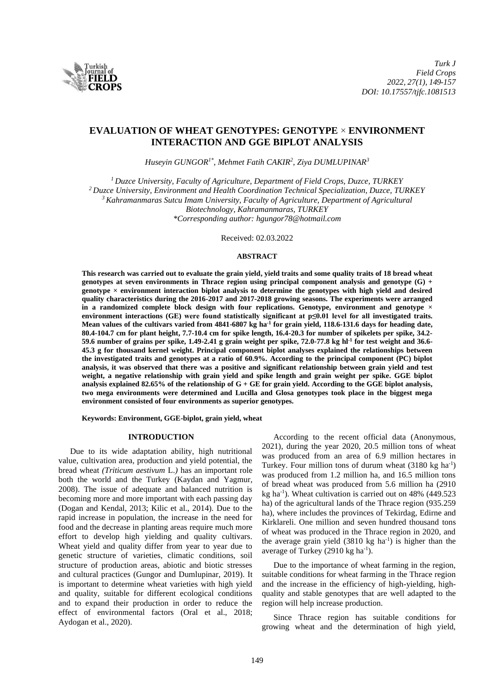

# **EVALUATION OF WHEAT GENOTYPES: GENOTYPE** × **ENVIRONMENT INTERACTION AND GGE BIPLOT ANALYSIS**

*Huseyin GUNGOR1\*, Mehmet Fatih CAKIR<sup>2</sup> , Ziya DUMLUPINAR<sup>3</sup>*

*<sup>1</sup>Duzce University, Faculty of Agriculture, Department of Field Crops, Duzce, TURKEY <sup>2</sup>Duzce University, Environment and Health Coordination Technical Specialization, Duzce, TURKEY <sup>3</sup>Kahramanmaras Sutcu Imam University, Faculty of Agriculture, Department of Agricultural Biotechnology, Kahramanmaras, TURKEY \*Corresponding author: hgungor78@hotmail.com*

Received: 02.03.2022

#### **ABSTRACT**

**This research was carried out to evaluate the grain yield, yield traits and some quality traits of 18 bread wheat genotypes at seven environments in Thrace region using principal component analysis and genotype (G) + genotype × environment interaction biplot analysis to determine the genotypes with high yield and desired quality characteristics during the 2016-2017 and 2017-2018 growing seasons. The experiments were arranged in a randomized complete block design with four replications. Genotype, environment and genotype × environment interactions (GE) were found statistically significant at p≤0.01 level for all investigated traits. Mean values of the cultivars varied from 4841-6807 kg ha-1 for grain yield, 118.6-131.6 days for heading date, 80.4-104.7 cm for plant height, 7.7-10.4 cm for spike length, 16.4-20.3 for number of spikelets per spike, 34.2- 59.6 number of grains per spike, 1.49-2.41 g grain weight per spike, 72.0-77.8 kg hl-1 for test weight and 36.6- 45.3 g for thousand kernel weight. Principal component biplot analyses explained the relationships between the investigated traits and genotypes at a ratio of 60.9%. According to the principal component (PC) biplot analysis, it was observed that there was a positive and significant relationship between grain yield and test weight, a negative relationship with grain yield and spike length and grain weight per spike. GGE biplot analysis explained 82.65% of the relationship of G + GE for grain yield. According to the GGE biplot analysis, two mega environments were determined and Lucilla and Glosa genotypes took place in the biggest mega environment consisted of four environments as superior genotypes.**

**Keywords: Environment, GGE-biplot, grain yield, wheat**

### **INTRODUCTION**

Due to its wide adaptation ability, high nutritional value, cultivation area, production and yield potential, the bread wheat *(Triticum aestivum* L.*)* has an important role both the world and the Turkey (Kaydan and Yagmur, 2008). The issue of adequate and balanced nutrition is becoming more and more important with each passing day (Dogan and Kendal, 2013; Kilic et al., 2014). Due to the rapid increase in population, the increase in the need for food and the decrease in planting areas require much more effort to develop high yielding and quality cultivars. Wheat yield and quality differ from year to year due to genetic structure of varieties, climatic conditions, soil structure of production areas, abiotic and biotic stresses and cultural practices (Gungor and Dumlupinar, 2019). It is important to determine wheat varieties with high yield and quality, suitable for different ecological conditions and to expand their production in order to reduce the effect of environmental factors (Oral et al., 2018; Aydogan et al., 2020).

According to the recent official data (Anonymous, 2021), during the year 2020, 20.5 million tons of wheat was produced from an area of 6.9 million hectares in Turkey. Four million tons of durum wheat  $(3180 \text{ kg ha}^{-1})$ was produced from 1.2 million ha, and 16.5 million tons of bread wheat was produced from 5.6 million ha (2910 kg ha-1 ). Wheat cultivation is carried out on 48% (449.523 ha) of the agricultural lands of the Thrace region (935.259 ha), where includes the provinces of Tekirdag, Edirne and Kirklareli. One million and seven hundred thousand tons of wheat was produced in the Thrace region in 2020, and the average grain yield  $(3810 \text{ kg} \text{ ha}^{-1})$  is higher than the average of Turkey (2910 kg ha $^{-1}$ ).

Due to the importance of wheat farming in the region, suitable conditions for wheat farming in the Thrace region and the increase in the efficiency of high-yielding, highquality and stable genotypes that are well adapted to the region will help increase production.

Since Thrace region has suitable conditions for growing wheat and the determination of high yield,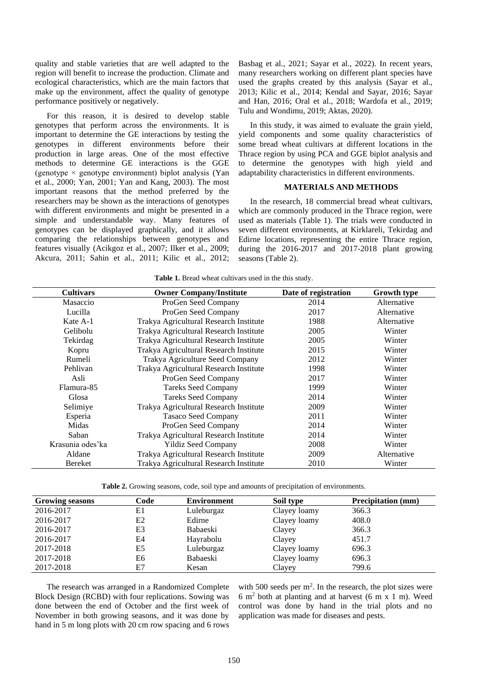quality and stable varieties that are well adapted to the region will benefit to increase the production. Climate and ecological characteristics, which are the main factors that make up the environment, affect the quality of genotype performance positively or negatively.

For this reason, it is desired to develop stable genotypes that perform across the environments. It is important to determine the GE interactions by testing the genotypes in different environments before their production in large areas. One of the most effective methods to determine GE interactions is the GGE (genotype  $\times$  genotype environment) biplot analysis (Yan et al., 2000; Yan, 2001; Yan and Kang, 2003). The most important reasons that the method preferred by the researchers may be shown as the interactions of genotypes with different environments and might be presented in a simple and understandable way. Many features of genotypes can be displayed graphically, and it allows comparing the relationships between genotypes and features visually (Acikgoz et al., 2007; Ilker et al., 2009; Akcura, 2011; Sahin et al., 2011; Kilic et al., 2012;

Basbag et al., 2021; Sayar et al., 2022). In recent years, many researchers working on different plant species have used the graphs created by this analysis (Sayar et al., 2013; Kilic et al., 2014; Kendal and Sayar, 2016; Sayar and Han, 2016; Oral et al., 2018; Wardofa et al., 2019; Tulu and Wondimu, 2019; Aktas, 2020).

In this study, it was aimed to evaluate the grain yield, yield components and some quality characteristics of some bread wheat cultivars at different locations in the Thrace region by using PCA and GGE biplot analysis and to determine the genotypes with high yield and adaptability characteristics in different environments.

## **MATERIALS AND METHODS**

In the research, 18 commercial bread wheat cultivars, which are commonly produced in the Thrace region, were used as materials (Table 1). The trials were conducted in seven different environments, at Kirklareli, Tekirdag and Edirne locations, representing the entire Thrace region, during the  $2016-2017$  and  $2017-2018$  plant growing seasons (Table 2).

| <b>Cultivars</b> | <b>Owner Company/Institute</b>         | Date of registration | <b>Growth type</b> |
|------------------|----------------------------------------|----------------------|--------------------|
| Masaccio         | ProGen Seed Company                    | 2014                 | Alternative        |
| Lucilla          | ProGen Seed Company                    | 2017                 | Alternative        |
| Kate A-1         | Trakya Agricultural Research Institute | 1988                 | Alternative        |
| Gelibolu         | Trakya Agricultural Research Institute | 2005                 | Winter             |
| Tekirdag         | Trakya Agricultural Research Institute | 2005                 | Winter             |
| Kopru            | Trakya Agricultural Research Institute | 2015                 | Winter             |
| Rumeli           | Trakya Agriculture Seed Company        | 2012                 | Winter             |
| Pehlivan         | Trakya Agricultural Research Institute | 1998                 | Winter             |
| Asli             | ProGen Seed Company                    | 2017                 | Winter             |
| Flamura-85       | <b>Tareks Seed Company</b>             | 1999                 | Winter             |
| Glosa            | <b>Tareks Seed Company</b>             | 2014                 | Winter             |
| Selimiye         | Trakya Agricultural Research Institute | 2009                 | Winter             |
| Esperia          | <b>Tasaco Seed Company</b>             | 2011                 | Winter             |
| Midas            | ProGen Seed Company                    | 2014                 | Winter             |
| Saban            | Trakya Agricultural Research Institute | 2014                 | Winter             |
| Krasunia odes'ka | <b>Yildiz Seed Company</b>             | 2008                 | Winter             |
| Aldane           | Trakya Agricultural Research Institute | 2009                 | Alternative        |
| Bereket          | Trakya Agricultural Research Institute | 2010                 | Winter             |

| Table 1. Bread wheat cultivars used in the this study. |  |  |  |  |  |  |  |
|--------------------------------------------------------|--|--|--|--|--|--|--|
|--------------------------------------------------------|--|--|--|--|--|--|--|

**Table 2.** Growing seasons, code, soil type and amounts of precipitation of environments.

| <b>Growing seasons</b> | Code | <b>Environment</b> | Soil type    | <b>Precipitation</b> (mm) |
|------------------------|------|--------------------|--------------|---------------------------|
| 2016-2017              | E1   | Luleburgaz         | Clayey loamy | 366.3                     |
| 2016-2017              | Ε2   | Edirne             | Clayey loamy | 408.0                     |
| 2016-2017              | E3   | <b>Babaeski</b>    | Clayey       | 366.3                     |
| 2016-2017              | E4   | Hayrabolu          | Clayey       | 451.7                     |
| 2017-2018              | E5   | Luleburgaz         | Clayey loamy | 696.3                     |
| 2017-2018              | E6   | Babaeski           | Clayey loamy | 696.3                     |
| 2017-2018              | E7   | Kesan              | Clayey       | 799.6                     |

The research was arranged in a Randomized Complete Block Design (RCBD) with four replications. Sowing was done between the end of October and the first week of November in both growing seasons, and it was done by hand in 5 m long plots with 20 cm row spacing and 6 rows

with 500 seeds per  $m^2$ . In the research, the plot sizes were 6 m<sup>2</sup> both at planting and at harvest (6 m x 1 m). Weed control was done by hand in the trial plots and no application was made for diseases and pests.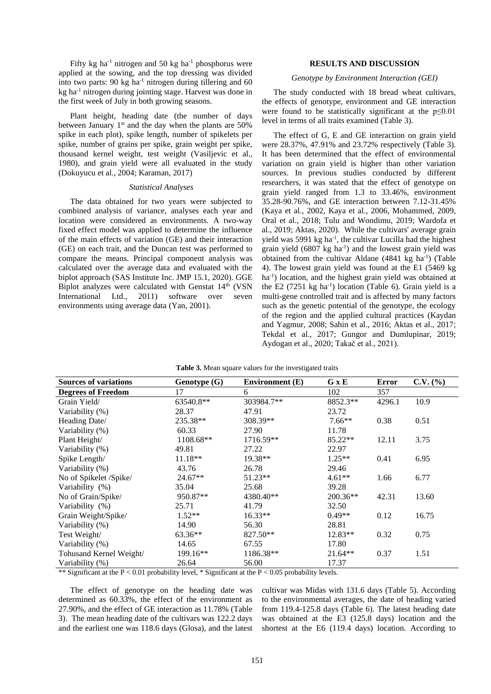Fifty kg ha<sup>-1</sup> nitrogen and 50 kg ha<sup>-1</sup> phosphorus were applied at the sowing, and the top dressing was divided into two parts:  $90 \text{ kg}$  ha<sup>-1</sup> nitrogen during tillering and  $60$ kg ha-1 nitrogen during jointing stage. Harvest was done in the first week of July in both growing seasons.

Plant height, heading date (the number of days between January 1<sup>st</sup> and the day when the plants are 50% spike in each plot), spike length, number of spikelets per spike, number of grains per spike, grain weight per spike, thousand kernel weight, test weight (Vasiljevic et al., 1980), and grain yield were all evaluated in the study (Dokuyucu et al., 2004; Karaman, 2017)

### *Statistical Analyses*

The data obtained for two years were subjected to combined analysis of variance, analyses each year and location were considered as environments. A two-way fixed effect model was applied to determine the influence of the main effects of variation (GE) and their interaction (GE) on each trait, and the Duncan test was performed to compare the means. Principal component analysis was calculated over the average data and evaluated with the biplot approach (SAS Institute Inc. JMP 15.1, 2020). GGE Biplot analyzes were calculated with Genstat 14<sup>th</sup> (VSN International Ltd., 2011) software over seven environments using average data (Yan, 2001).

## **RESULTS AND DISCUSSION**

#### *Genotype by Environment Interaction (GEI)*

The study conducted with 18 bread wheat cultivars, the effects of genotype, environment and GE interaction were found to be statistically significant at the  $p \le 0.01$ level in terms of all traits examined (Table 3).

The effect of G, E and GE interaction on grain yield were 28.37%, 47.91% and 23.72% respectively (Table 3). It has been determined that the effect of environmental variation on grain yield is higher than other variation sources. In previous studies conducted by different researchers, it was stated that the effect of genotype on grain yield ranged from 1.3 to 33.46%, environment 35.28-90.76%, and GE interaction between 7.12-31.45% (Kaya et al., 2002, Kaya et al., 2006, Mohammed, 2009, Oral et al., 2018; Tulu and Wondimu, 2019; Wardofa et al., 2019; Aktas, 2020). While the cultivars' average grain yield was 5991 kg ha<sup>-1</sup>, the cultivar Lucilla had the highest grain yield  $(6807 \text{ kg ha}^{-1})$  and the lowest grain yield was obtained from the cultivar Aldane (4841 kg ha<sup>-1</sup>) (Table 4). The lowest grain yield was found at the E1 (5469 kg ha<sup>-1</sup>) location, and the highest grain yield was obtained at the E2  $(7251 \text{ kg} \text{ ha}^{-1})$  location (Table 6). Grain yield is a multi-gene controlled trait and is affected by many factors such as the genetic potential of the genotype, the ecology of the region and the applied cultural practices (Kaydan and Yagmur, 2008; Sahin et al., 2016; Aktas et al., 2017; Tekdal et al., 2017; Gungor and Dumlupinar, 2019; Aydogan et al., 2020; Takač et al., 2021).

| <b>Sources of variations</b> | Genotype (G)                           | <b>Environment</b> (E)                          | G x E      | Error  | $C.V.$ (%) |
|------------------------------|----------------------------------------|-------------------------------------------------|------------|--------|------------|
| <b>Degrees of Freedom</b>    | 17                                     | 6                                               | 102        | 357    |            |
| Grain Yield/                 | 63540.8**                              | 303984.7**                                      | 8852.3**   | 4296.1 | 10.9       |
| Variability (%)              | 28.37                                  | 47.91                                           | 23.72      |        |            |
| Heading Date/                | 235.38**                               | 308.39**                                        | $7.66**$   | 0.38   | 0.51       |
| Variability (%)              | 60.33                                  | 27.90                                           | 11.78      |        |            |
| Plant Height/                | 1108.68**                              | 1716.59**                                       | 85.22**    | 12.11  | 3.75       |
| Variability (%)              | 49.81                                  | 27.22                                           | 22.97      |        |            |
| Spike Length/                | $11.18**$                              | $19.38**$                                       | $1.25**$   | 0.41   | 6.95       |
| Variability (%)              | 43.76                                  | 26.78                                           | 29.46      |        |            |
| No of Spikelet /Spike/       | $24.67**$                              | $51.23**$                                       | $4.61**$   | 1.66   | 6.77       |
| Variability (%)              | 35.04                                  | 25.68                                           | 39.28      |        |            |
| No of Grain/Spike/           | 950.87**                               | 4380.40**                                       | $200.36**$ | 42.31  | 13.60      |
| Variability (%)              | 25.71                                  | 41.79                                           | 32.50      |        |            |
| Grain Weight/Spike/          | $1.52**$                               | $16.33**$                                       | $0.49**$   | 0.12   | 16.75      |
| Variability (%)              | 14.90                                  | 56.30                                           | 28.81      |        |            |
| Test Weight/                 | $63.36**$                              | 827.50**                                        | $12.83**$  | 0.32   | 0.75       |
| Variability (%)              | 14.65                                  | 67.55                                           | 17.80      |        |            |
| Tohusand Kernel Weight/      | 199.16**                               | 1186.38**                                       | $21.64**$  | 0.37   | 1.51       |
| Variability (%)              | 26.64<br>$\mathbf{1}$ and $\mathbf{2}$ | 56.00<br>$\mathbf{a}$ $\mathbf{b}$ $\mathbf{c}$ | 17.37      |        |            |

| Table 3. Mean square values for the investigated traits |  |  |  |
|---------------------------------------------------------|--|--|--|
|---------------------------------------------------------|--|--|--|

\*\* Significant at the  $P < 0.01$  probability level, \* Significant at the  $P < 0.05$  probability levels.

The effect of genotype on the heading date was determined as 60.33%, the effect of the environment as 27.90%, and the effect of GE interaction as 11.78% (Table 3). The mean heading date of the cultivars was 122.2 days and the earliest one was 118.6 days (Glosa), and the latest cultivar was Midas with 131.6 days (Table 5). According to the environmental averages, the date of heading varied from 119.4-125.8 days (Table 6). The latest heading date was obtained at the E3 (125.8 days) location and the shortest at the E6 (119.4 days) location. According to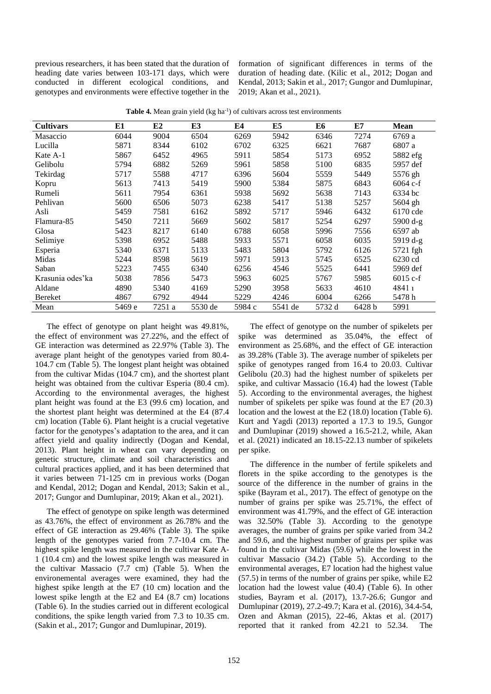previous researchers, it has been stated that the duration of heading date varies between 103-171 days, which were conducted in different ecological conditions, and genotypes and environments were effective together in the formation of significant differences in terms of the duration of heading date. (Kilic et al., 2012; Dogan and Kendal, 2013; Sakin et al., 2017; Gungor and Dumlupinar, 2019; Akan et al., 2021).

| <b>Cultivars</b> | E1     | E <sub>2</sub> | E3      | E4     | E5      | E6     | E7     | Mean       |
|------------------|--------|----------------|---------|--------|---------|--------|--------|------------|
| Masaccio         | 6044   | 9004           | 6504    | 6269   | 5942    | 6346   | 7274   | 6769 a     |
| Lucilla          | 5871   | 8344           | 6102    | 6702   | 6325    | 6621   | 7687   | 6807 a     |
| Kate A-1         | 5867   | 6452           | 4965    | 5911   | 5854    | 5173   | 6952   | 5882 efg   |
| Gelibolu         | 5794   | 6882           | 5269    | 5961   | 5858    | 5100   | 6835   | 5957 def   |
| Tekirdag         | 5717   | 5588           | 4717    | 6396   | 5604    | 5559   | 5449   | 5576 gh    |
| Kopru            | 5613   | 7413           | 5419    | 5900   | 5384    | 5875   | 6843   | $6064$ c-f |
| Rumeli           | 5611   | 7954           | 6361    | 5938   | 5692    | 5638   | 7143   | 6334 bc    |
| Pehlivan         | 5600   | 6506           | 5073    | 6238   | 5417    | 5138   | 5257   | 5604 gh    |
| Asli             | 5459   | 7581           | 6162    | 5892   | 5717    | 5946   | 6432   | 6170 cde   |
| Flamura-85       | 5450   | 7211           | 5669    | 5602   | 5817    | 5254   | 6297   | $5900 d-g$ |
| Glosa            | 5423   | 8217           | 6140    | 6788   | 6058    | 5996   | 7556   | 6597 ab    |
| Selimiye         | 5398   | 6952           | 5488    | 5933   | 5571    | 6058   | 6035   | 5919 d-g   |
| Esperia          | 5340   | 6371           | 5133    | 5483   | 5804    | 5792   | 6126   | 5721 fgh   |
| Midas            | 5244   | 8598           | 5619    | 5971   | 5913    | 5745   | 6525   | 6230 cd    |
| Saban            | 5223   | 7455           | 6340    | 6256   | 4546    | 5525   | 6441   | 5969 def   |
| Krasunia odes'ka | 5038   | 7856           | 5473    | 5963   | 6025    | 5767   | 5985   | $6015$ c-f |
| Aldane           | 4890   | 5340           | 4169    | 5290   | 3958    | 5633   | 4610   | 48411      |
| Bereket          | 4867   | 6792           | 4944    | 5229   | 4246    | 6004   | 6266   | 5478 h     |
| Mean             | 5469 e | 7251 a         | 5530 de | 5984 c | 5541 de | 5732 d | 6428 b | 5991       |

Table 4. Mean grain yield (kg ha<sup>-1</sup>) of cultivars across test environments

The effect of genotype on plant height was 49.81%, the effect of environment was 27.22%, and the effect of GE interaction was determined as 22.97% (Table 3). The average plant height of the genotypes varied from 80.4- 104.7 cm (Table 5). The longest plant height was obtained from the cultivar Midas (104.7 cm), and the shortest plant height was obtained from the cultivar Esperia (80.4 cm). According to the environmental averages, the highest plant height was found at the E3 (99.6 cm) location, and the shortest plant height was determined at the E4 (87.4 cm) location (Table 6). Plant height is a crucial vegetative factor for the genotypes's adaptation to the area, and it can affect yield and quality indirectly (Dogan and Kendal, 2013). Plant height in wheat can vary depending on genetic structure, climate and soil characteristics and cultural practices applied, and it has been determined that it varies between 71-125 cm in previous works (Dogan and Kendal, 2012; Dogan and Kendal, 2013; Sakin et al., 2017; Gungor and Dumlupinar, 2019; Akan et al., 2021).

The effect of genotype on spike length was determined as 43.76%, the effect of environment as 26.78% and the effect of GE interaction as 29.46% (Table 3). The spike length of the genotypes varied from 7.7-10.4 cm. The highest spike length was measured in the cultivar Kate A-1 (10.4 cm) and the lowest spike length was measured in the cultivar Massacio (7.7 cm) (Table 5). When the environemental averages were examined, they had the highest spike length at the E7 (10 cm) location and the lowest spike length at the E2 and E4 (8.7 cm) locations (Table 6). In the studies carried out in different ecological conditions, the spike length varied from 7.3 to 10.35 cm. (Sakin et al., 2017; Gungor and Dumlupinar, 2019).

The effect of genotype on the number of spikelets per spike was determined as 35.04%, the effect of environment as 25.68%, and the effect of GE interaction as 39.28% (Table 3). The average number of spikelets per spike of genotypes ranged from 16.4 to 20.03. Cultivar Gelibolu (20.3) had the highest number of spikelets per spike, and cultivar Massacio (16.4) had the lowest (Table 5). According to the environmental averages, the highest number of spikelets per spike was found at the E7 (20.3) location and the lowest at the E2 (18.0) location (Table 6). Kurt and Yagdi (2013) reported a 17.3 to 19.5, Gungor and Dumlupinar (2019) showed a 16.5-21.2, while, Akan et al. (2021) indicated an 18.15-22.13 number of spikelets per spike.

The difference in the number of fertile spikelets and florets in the spike according to the genotypes is the source of the difference in the number of grains in the spike (Bayram et al., 2017). The effect of genotype on the number of grains per spike was 25.71%, the effect of environment was 41.79%, and the effect of GE interaction was 32.50% (Table 3). According to the genotype averages, the number of grains per spike varied from 34.2 and 59.6, and the highest number of grains per spike was found in the cultivar Midas (59.6) while the lowest in the cultivar Massacio (34.2) (Table 5). According to the environmental averages, E7 location had the highest value (57.5) in terms of the number of grains per spike, while E2 location had the lowest value (40.4) (Table 6). In other studies, Bayram et al. (2017), 13.7-26.6; Gungor and Dumlupinar (2019), 27.2-49.7; Kara et al. (2016), 34.4-54, Ozen and Akman (2015), 22-46, Aktas et al. (2017) reported that it ranked from 42.21 to 52.34. The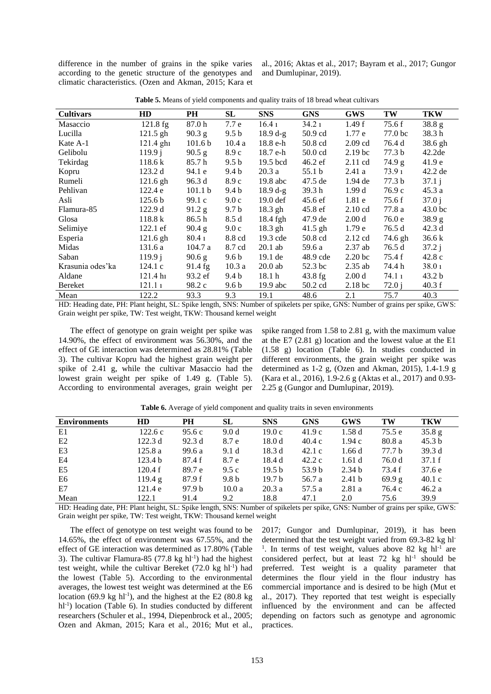difference in the number of grains in the spike varies according to the genetic structure of the genotypes and climatic characteristics. (Ozen and Akman, 2015; Kara et al., 2016; Aktas et al., 2017; Bayram et al., 2017; Gungor and Dumlupinar, 2019).

| <b>Cultivars</b> | HD                   | PH                 | SL               | <b>SNS</b>          | GNS               | GWS                | TW                | <b>TKW</b>         |
|------------------|----------------------|--------------------|------------------|---------------------|-------------------|--------------------|-------------------|--------------------|
| Masaccio         | 121.8 fg             | 87.0h              | 7.7 e            | 16.4 <sub>1</sub>   | 34.21             | 1.49f              | 75.6 f            | 38.8 <sub>g</sub>  |
| Lucilla          | $121.5$ gh           | $90.3$ g           | 9.5 <sub>b</sub> | $18.9 d-g$          | 50.9 cd           | 1.77e              | 77.0 bc           | 38.3h              |
| Kate A-1         | $121.4 \text{ g}h_1$ | 101.6 <sub>b</sub> | 10.4a            | 18.8 e-h            | 50.8 cd           | $2.09$ cd          | 76.4 d            | 38.6 gh            |
| Gelibolu         | 119.9 i              | 90.5 g             | 8.9c             | 18.7 e-h            | $50.0$ cd         | 2.19 <sub>bc</sub> | 77.3 <sub>b</sub> | 42.2de             |
| Tekirdag         | 118.6 k              | 85.7h              | 9.5 <sub>b</sub> | 19.5 bcd            | $46.2 \text{ ef}$ | $2.11 \text{ cd}$  | 74.9 g            | 41.9 <sub>e</sub>  |
| Kopru            | 123.2 d              | 94.1 e             | 9.4 b            | 20.3a               | 55.1 b            | 2.41a              | 73.9 1            | $42.2$ de          |
| Rumeli           | $121.6$ gh           | 96.3 d             | 8.9c             | $19.8$ abc          | $47.5$ de         | $1.94$ de          | 77.3 <sub>b</sub> | 37.1j              |
| Pehlivan         | 122.4 e              | 101.1 <sub>b</sub> | 9.4 b            | $18.9 d-g$          | 39.3 h            | 1.99d              | 76.9c             | 45.3a              |
| Asli             | 125.6 <sub>b</sub>   | 99.1 c             | 9.0c             | 19.0 <sub>def</sub> | $45.6 \text{ ef}$ | 1.81e              | 75.6f             | 37.0 i             |
| Flamura-85       | 122.9d               | 91.2 g             | 9.7 <sub>b</sub> | 18.3 gh             | 45.8 ef           | $2.10 \text{ cd}$  | 77.8 a            | 43.0 <sub>bc</sub> |
| Glosa            | 118.8 k              | 86.5h              | 8.5d             | 18.4 fgh            | 47.9 de           | 2.00 <sub>d</sub>  | 76.0e             | 38.9 <sub>g</sub>  |
| Selimiye         | $122.1$ ef           | $90.4\text{ g}$    | 9.0c             | $18.3$ gh           | $41.5$ gh         | 1.79 <sub>e</sub>  | 76.5 d            | 42.3d              |
| Esperia          | $121.6$ gh           | $80.4_1$           | 8.8 cd           | $19.3$ cde          | 50.8 cd           | $2.12$ cd          | 74.6 gh           | 36.6k              |
| Midas            | 131.6 a              | 104.7a             | 8.7 cd           | $20.1$ ab           | 59.6 a            | $2.37$ ab          | 76.5 d            | 37.2 i             |
| Saban            | 119.9 i              | 90.6 g             | 9.6 b            | $19.1$ de           | 48.9 cde          | 2.20 <sub>bc</sub> | 75.4 f            | 42.8c              |
| Krasunia odes'ka | 124.1c               | 91.4 fg            | 10.3a            | $20.0$ ab           | 52.3 bc           | $2.35$ ab          | 74.4 h            | 38.0 <sub>1</sub>  |
| Aldane           | 121.4 h              | 93.2 ef            | 9.4 b            | 18.1 h              | $43.8$ fg         | 2.00 <sub>d</sub>  | 74.1 1            | 43.2 <sub>b</sub>  |
| Bereket          | 121.1 1              | 98.2 c             | 9.6 <sub>b</sub> | $19.9$ abc          | 50.2 cd           | 2.18 <sub>bc</sub> | 72.0 i            | 40.3 f             |
| Mean             | 122.2                | 93.3               | 9.3              | 19.1                | 48.6              | 2.1                | 75.7              | 40.3               |

**Table 5.** Means of yield components and quality traits of 18 bread wheat cultivars

HD: Heading date, PH: Plant height, SL: Spike length, SNS: Number of spikelets per spike, GNS: Number of grains per spike, GWS: Grain weight per spike, TW: Test weight, TKW: Thousand kernel weight

The effect of genotype on grain weight per spike was 14.90%, the effect of environment was 56.30%, and the effect of GE interaction was determined as 28.81% (Table 3). The cultivar Kopru had the highest grain weight per spike of 2.41 g, while the cultivar Masaccio had the lowest grain weight per spike of 1.49 g. (Table 5). According to environmental averages, grain weight per spike ranged from 1.58 to 2.81 g, with the maximum value at the E7 (2.81 g) location and the lowest value at the E1 (1.58 g) location (Table 6). In studies conducted in different environments, the grain weight per spike was determined as 1-2 g, (Ozen and Akman, 2015), 1.4-1.9 g (Kara et al., 2016), 1.9-2.6 g (Aktas et al., 2017) and 0.93- 2.25 g (Gungor and Dumlupinar, 2019).

| 35.8 g            |
|-------------------|
|                   |
| 45.3 <sub>b</sub> |
| 39.3d             |
| 37.1 f            |
| 37.6e             |
| 40.1c             |
| 46.2a             |
| 39.9              |
|                   |

Table 6. Average of yield component and quality traits in seven environments

HD: Heading date, PH: Plant height, SL: Spike length, SNS: Number of spikelets per spike, GNS: Number of grains per spike, GWS: Grain weight per spike, TW: Test weight, TKW: Thousand kernel weight

The effect of genotype on test weight was found to be 14.65%, the effect of environment was 67.55%, and the effect of GE interaction was determined as 17.80% (Table 3). The cultivar Flamura-85  $(77.8 \text{ kg} \text{ h}^{-1})$  had the highest test weight, while the cultivar Bereket (72.0 kg hl<sup>-1</sup>) had the lowest (Table 5). According to the environmental averages, the lowest test weight was determined at the E6 location (69.9 kg hl<sup>-1</sup>), and the highest at the E2 (80.8 kg hl<sup>-1</sup>) location (Table 6). In studies conducted by different researchers (Schuler et al., 1994, Diepenbrock et al., 2005; Ozen and Akman, 2015; Kara et al., 2016; Mut et al.,

2017; Gungor and Dumlupinar, 2019), it has been determined that the test weight varied from 69.3-82 kg hl-<sup>1</sup>. In terms of test weight, values above 82 kg hl<sup>-1</sup> are considered perfect, but at least  $72 \text{ kg} \text{ hl}^{-1}$  should be preferred. Test weight is a quality parameter that determines the flour yield in the flour industry has commercial importance and is desired to be high (Mut et al., 2017). They reported that test weight is especially influenced by the environment and can be affected depending on factors such as genotype and agronomic practices.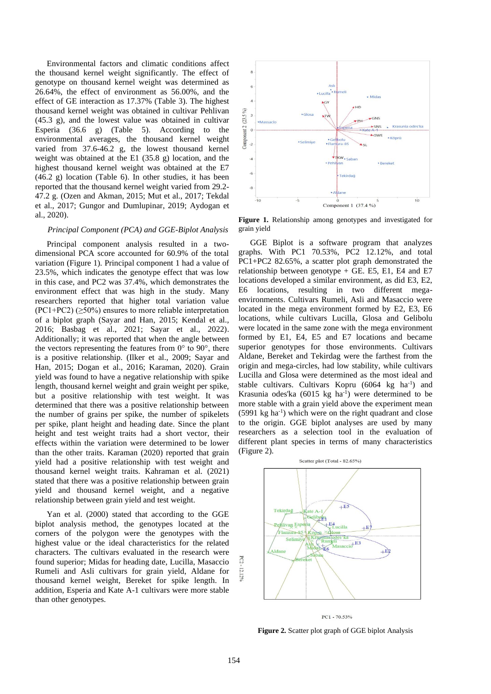Environmental factors and climatic conditions affect the thousand kernel weight significantly. The effect of genotype on thousand kernel weight was determined as 26.64%, the effect of environment as 56.00%, and the effect of GE interaction as 17.37% (Table 3). The highest thousand kernel weight was obtained in cultivar Pehlivan (45.3 g), and the lowest value was obtained in cultivar Esperia (36.6 g) (Table 5). According to the environmental averages, the thousand kernel weight varied from 37.6-46.2 g, the lowest thousand kernel weight was obtained at the E1 (35.8 g) location, and the highest thousand kernel weight was obtained at the E7 (46.2 g) location (Table 6). In other studies, it has been reported that the thousand kernel weight varied from 29.2- 47.2 g. (Ozen and Akman, 2015; Mut et al., 2017; Tekdal et al., 2017; Gungor and Dumlupinar, 2019; Aydogan et al., 2020).

### *Principal Component (PCA) and GGE-Biplot Analysis*

Principal component analysis resulted in a twodimensional PCA score accounted for 60.9% of the total variation (Figure 1). Principal component 1 had a value of 23.5%, which indicates the genotype effect that was low in this case, and PC2 was 37.4%, which demonstrates the environment effect that was high in the study. Many researchers reported that higher total variation value  $(PC1+PC2)$  ( $\geq$ 50%) ensures to more reliable interpretation of a biplot graph (Sayar and Han, 2015; Kendal et al., 2016; Basbag et al., 2021; Sayar et al., 2022). Additionally; it was reported that when the angle between the vectors representing the features from  $0^{\circ}$  to  $90^{\circ}$ , there is a positive relationship. (Ilker et al., 2009; Sayar and Han, 2015; Dogan et al., 2016; Karaman, 2020). Grain yield was found to have a negative relationship with spike length, thousand kernel weight and grain weight per spike, but a positive relationship with test weight. It was determined that there was a positive relationship between the number of grains per spike, the number of spikelets per spike, plant height and heading date. Since the plant height and test weight traits had a short vector, their effects within the variation were determined to be lower than the other traits. Karaman (2020) reported that grain yield had a positive relationship with test weight and thousand kernel weight traits. Kahraman et al. (2021) stated that there was a positive relationship between grain yield and thousand kernel weight, and a negative relationship between grain yield and test weight.

Yan et al. (2000) stated that according to the GGE biplot analysis method, the genotypes located at the corners of the polygon were the genotypes with the highest value or the ideal characteristics for the related characters. The cultivars evaluated in the research were found superior; Midas for heading date, Lucilla, Masaccio Rumeli and Asli cultivars for grain yield, Aldane for thousand kernel weight, Bereket for spike length. In addition, Esperia and Kate A-1 cultivars were more stable than other genotypes.



**Figure 1.** Relationship among genotypes and investigated for grain yield

GGE Biplot is a software program that analyzes graphs. With PC1 70.53%, PC2 12.12%, and total PC1+PC2 82.65%, a scatter plot graph demonstrated the relationship between genotype  $+$  GE. E5, E1, E4 and E7 locations developed a similar environment, as did E3, E2, E6 locations, resulting in two different megaenvironments. Cultivars Rumeli, Asli and Masaccio were located in the mega environment formed by E2, E3, E6 locations, while cultivars Lucilla, Glosa and Gelibolu were located in the same zone with the mega environment formed by E1, E4, E5 and E7 locations and became superior genotypes for those environments. Cultivars Aldane, Bereket and Tekirdag were the farthest from the origin and mega-circles, had low stability, while cultivars Lucilla and Glosa were determined as the most ideal and stable cultivars. Cultivars Kopru (6064 kg ha<sup>-1</sup>) and Krasunia odes'ka  $(6015 \text{ kg} \text{ ha}^{-1})$  were determined to be more stable with a grain yield above the experiment mean  $(5991 \text{ kg} \text{ ha}^{-1})$  which were on the right quadrant and close to the origin. GGE biplot analyses are used by many researchers as a selection tool in the evaluation of different plant species in terms of many characteristics (Figure 2).



 $PC1 - 70.53%$ 

**Figure 2.** Scatter plot graph of GGE biplot Analysis

 $_{\rm{C2}}$ 12.12%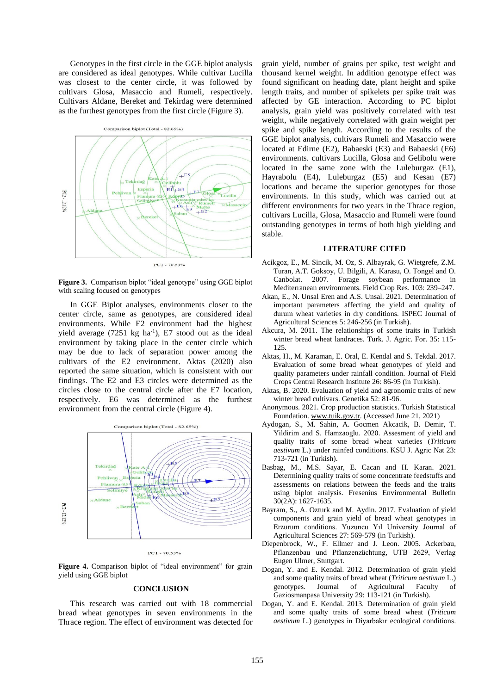Genotypes in the first circle in the GGE biplot analysis are considered as ideal genotypes. While cultivar Lucilla was closest to the center circle, it was followed by cultivars Glosa, Masaccio and Rumeli, respectively. Cultivars Aldane, Bereket and Tekirdag were determined as the furthest genotypes from the first circle (Figure 3).



**Figure 3.** Comparison biplot "ideal genotype" using GGE biplot with scaling focused on genotypes

In GGE Biplot analyses, environments closer to the center circle, same as genotypes, are considered ideal environments. While E2 environment had the highest yield average  $(7251 \text{ kg} \text{ ha}^{-1})$ , E7 stood out as the ideal environment by taking place in the center circle which may be due to lack of separation power among the cultivars of the E2 environment. Aktas (2020) also reported the same situation, which is consistent with our findings. The E2 and E3 circles were determined as the circles close to the central circle after the E7 location, respectively. E6 was determined as the furthest environment from the central circle (Figure 4).



 $PC1 - 70.53%$ 

Figure 4. Comparison biplot of "ideal environment" for grain yield using GGE biplot

### **CONCLUSION**

This research was carried out with 18 commercial bread wheat genotypes in seven environments in the Thrace region. The effect of environment was detected for grain yield, number of grains per spike, test weight and thousand kernel weight. In addition genotype effect was found significant on heading date, plant height and spike length traits, and number of spikelets per spike trait was affected by GE interaction. According to PC biplot analysis, grain yield was positively correlated with test weight, while negatively correlated with grain weight per spike and spike length. According to the results of the GGE biplot analysis, cultivars Rumeli and Masaccio were located at Edirne (E2), Babaeski (E3) and Babaeski (E6) environments. cultivars Lucilla, Glosa and Gelibolu were located in the same zone with the Luleburgaz (E1), Hayrabolu (E4), Luleburgaz (E5) and Kesan (E7) locations and became the superior genotypes for those environments. In this study, which was carried out at different environments for two years in the Thrace region, cultivars Lucilla, Glosa, Masaccio and Rumeli were found outstanding genotypes in terms of both high yielding and stable.

#### **LITERATURE CITED**

- Acikgoz, E., M. Sincik, M. Oz, S. Albayrak, G. Wietgrefe, Z.M. Turan, A.T. Goksoy, U. Bilgili, A. Karasu, O. Tongel and O. Canbolat. 2007. Forage soybean performance in Mediterranean environments. Field Crop Res. 103: 239–247.
- Akan, E., N. Unsal Eren and A.S. Unsal. 2021. Determination of important parameters affecting the yield and quality of durum wheat varieties in dry conditions. ISPEC Journal of Agricultural Sciences 5: 246-256 (in Turkish).
- Akcura, M. 2011. The relationships of some traits in Turkish winter bread wheat landraces. Turk. J. Agric. For. 35: 115- 125.
- Aktas, H., M. Karaman, E. Oral, E. Kendal and S. Tekdal. 2017. Evaluation of some bread wheat genotypes of yield and quality parameters under rainfall condition. Journal of Field Crops Central Research Institute 26: 86-95 (in Turkish).
- Aktas, B. 2020. Evaluation of yield and agronomic traits of new winter bread cultivars. Genetika 52: 81-96.
- Anonymous. 2021. Crop production statistics. Turkish Statistical Foundation[. www.tuik.gov.tr.](http://www.tuik.gov.tr/) (Accessed June 21, 2021)
- Aydogan, S., M. Sahin, A. Gocmen Akcacik, B. Demir, T. Yildirim and S. Hamzaoglu. 2020. Assesment of yield and quality traits of some bread wheat varieties (*Triticum aestivum* L.) under rainfed conditions. KSU J. Agric Nat 23: 713-721 (in Turkish).
- Basbag, M., M.S. Sayar, E. Cacan and H. Karan. 2021. Determining quality traits of some concentrate feedstuffs and assessments on relations between the feeds and the traits using biplot analysis. Fresenius Environmental Bulletin 30(2A): 1627-1635.
- Bayram, S., A. Ozturk and M. Aydin. 2017. Evaluation of yield components and grain yield of bread wheat genotypes in Erzurum conditions. Yuzuncu Yıl University Journal of Agricultural Sciences 27: 569-579 (in Turkish).
- Diepenbrock, W., F. Ellmer and J. Leon. 2005. Ackerbau, Pflanzenbau und Pflanzenzüchtung, UTB 2629, Verlag Eugen Ulmer, Stuttgart.
- Dogan, Y. and E. Kendal. 2012. Determination of grain yield and some quality traits of bread wheat (*Triticum aestivum* L.) genotypes. Journal of Agricultural Faculty of Gaziosmanpasa University 29: 113-121 (in Turkish).
- Dogan, Y. and E. Kendal. 2013. Determination of grain yield and some qualty traits of some bread wheat (*Triticum aestivum* L.) genotypes in Diyarbakır ecological conditions.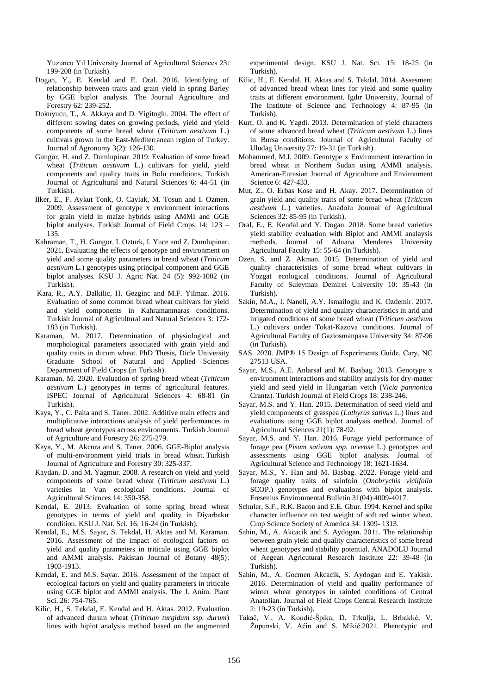Yuzuncu Yıl University Journal of Agricultural Sciences 23: 199-208 (in Turkish).

- Dogan, Y., E. Kendal and E. Oral. 2016. Identifying of relationship between traits and grain yield in spring Barley by GGE biplot analysis. The Journal Agriculture and Forestry 62: 239-252.
- Dokuyucu, T., A. Akkaya and D. Yigitoglu. 2004. The effect of different sowing dates on growing periods, yield and yield components of some bread wheat (*Triticum aestivum* L.) cultivars grown in the East-Mediterranean region of Turkey. Journal of Agronomy 3(2): 126-130.
- Gungor, H. and Z. Dumlupinar. 2019. Evaluation of some bread wheat (*Triticum aestivum* L.) cultivars for yield, yield components and quality traits in Bolu conditions. Turkish Journal of Agricultural and Natural Sciences 6: 44-51 (in Turkish).
- Ilker, E., F. Aykut Tonk, O. Caylak, M. Tosun and I. Ozmen. 2009. Assessment of genotype x environment interactions for grain yield in maize hybrids using AMMI and GGE biplot analyses. Turkish Journal of Field Crops 14: 123 – 135.
- Kahraman, T., H. Gungor, I. Ozturk, I. Yuce and Z. Dumlupinar. 2021. Evaluating the effects of genotype and environment on yield and some quality parameters in bread wheat (*Triticum aestivum* L.) genotypes using principal component and GGE biplot analyses. KSU J. Agric Nat. 24 (5): 992-1002 (in Turkish).
- Kara, R., A.Y. Dalkilic, H. Gezginc and M.F. Yilmaz. 2016. Evaluation of some common bread wheat cultivars for yield and yield components in Kahramanmaras conditions. Turkish Journal of Agricultural and Natural Sciences 3: 172- 183 (in Turkish).
- Karaman, M. 2017. Determination of physiological and morphological parameters associated with grain yield and quality traits in durum wheat. PhD Thesis, Dicle University Graduate School of Natural and Applied Sciences Department of Field Crops (in Turkish).
- Karaman, M. 2020. Evaluation of spring bread wheat (*Triticum aestivum* L.) genotypes in terms of agricultural features. ISPEC Journal of Agricultural Sciences 4: 68-81 (in Turkish).
- Kaya, Y., C. Palta and S. Taner. 2002. Additive main effects and multiplicative interactions analysis of yield performances in bread wheat genotypes across environments. Turkish Journal of Agriculture and Forestry 26: 275-279.
- Kaya, Y., M. Akcura and S. Taner. 2006. GGE-Biplot analysis of multi-environment yield trials in bread wheat. Turkish Journal of Agriculture and Forestry 30: 325-337.
- Kaydan, D. and M. Yagmur. 2008. A research on yield and yield components of some bread wheat (*Triticum aestivum* L.) varieties in Van ecological conditions. Journal of Agricultural Sciences 14: 350-358.
- Kendal, E. 2013. Evaluation of some spring bread wheat genotypes in terms of yield and quality in Diyarbakır condition. KSU J. Nat. Sci. 16: 16-24 (in Turkish).
- Kendal, E., M.S. Sayar, S. Tekdal, H. Aktas and M. Karaman. 2016. Assessment of the impact of ecological factors on yield and quality parameters in triticale using GGE biplot and AMMI analysis. Pakistan Journal of Botany 48(5): 1903-1913.
- Kendal, E. and M.S. Sayar. 2016. Assessment of the impact of ecological factors on yield and quality parameters in triticale using GGE biplot and AMMI analysis. The J. Anim. Plant Sci. 26: 754-765.
- Kilic, H., S. Tekdal, E. Kendal and H. Aktas. 2012. Evaluation of advanced durum wheat (*Triticum turgidum ssp. durum*) lines with biplot analysis method based on the augmented

experimental design. KSU J. Nat. Sci. 15: 18-25 (in Turkish).

- Kilic, H., E. Kendal, H. Aktas and S. Tekdal. 2014. Assesment of advanced bread wheat lines for yield and some quality traits at different environment. Igdır University, Journal of The Institute of Science and Technology 4: 87-95 (in Turkish).
- Kurt, O. and K. Yagdi. 2013. Determination of yield characters of some advanced bread wheat (*Triticum aestivum* L.) lines in Bursa conditions. Journal of Agricultural Faculty of Uludag University 27: 19-31 (in Turkish).
- Mohammed, M.I. 2009. Genotype x Environment interaction in bread wheat in Northern Sudan using AMMI analysis. American-Eurasian Journal of Agriculture and Environment Science 6: 427-433.
- Mut, Z., O. Erbas Kose and H. Akay. 2017. Determination of grain yield and quality traits of some bread wheat (*Triticum aestivum* L.) varieties. Anadolu Journal of Agricultural Sciences 32: 85-95 (in Turkish).
- Oral, E., E. Kendal and Y. Dogan. 2018. Some bread varieties yield stability evaluation with Biplot and AMMI analaysis methods. Journal of Adnana Menderes University Agricultural Faculty 15: 55-64 (in Turkish).
- Ozen, S. and Z. Akman. 2015. Determination of yield and quality characteristics of some bread wheat cultivars in Yozgat ecological conditions. Journal of Agricultural Faculty of Suleyman Demirel University 10: 35-43 (in Turkish).
- Sakin, M.A., I. Naneli, A.Y. Ismailoglu and K. Ozdemir. 2017. Determination of yield and quality characteristics in arid and irrigated conditions of some bread wheat (*Triticum aestivum* L.) cultivars under Tokat-Kazova conditions. Journal of Agricultural Faculty of Gaziosmanpasa University 34: 87-96 (in Turkish).
- SAS. 2020. JMP® 15 Design of Experiments Guide. Cary, NC 27513 USA.
- Sayar, M.S., A.E. Anlarsal and M. Basbag. 2013. Genotype x environment interactions and stability analysis for dry-matter yield and seed yield in Hungarian vetch (*Vicia pannonica* Crantz). Turkish Journal of Field Crops 18: 238-246.
- Sayar, M.S. and Y. Han. 2015. Determination of seed yield and yield components of grasspea (*Lathyrus sativus* L.) lines and evaluations using GGE biplot analysis method. Journal of Agricultural Sciences 21(1): 78-92.
- Sayar, M.S. and Y. Han. 2016. Forage yield performance of forage pea (*Pisum sativum spp. arvense* L.) genotypes and assessments using GGE biplot analysis. Journal of Agricultural Science and Technology 18: 1621-1634.
- Sayar, M.S., Y. Han and M. Basbag. 2022. Forage yield and forage quality traits of sainfoin (*Onobrychis viciifolia* SCOP.) genotypes and evaluations with biplot analysis. Fresenius Environmental Bulletin 31(04):4009-4017.
- Schuler, S.F., R.K. Bacon and E.E. Gbur. 1994. Kernel and spike character influence on test weight of soft red winter wheat. Crop Science Society of America 34: 1309- 1313.
- Sahin, M., A. Akcacik and S. Aydogan. 2011. The relationship between grain yield and quality characteristics of some bread wheat genotypes and stability potential. ANADOLU Journal of Aegean Agricutural Research Institute 22: 39-48 (in Turkish).
- Sahin, M., A. Gocmen Akcacik, S. Aydogan and E. Yakisir. 2016. Determination of yield and quality performance of winter wheat genotypes in rainfed conditions of Central Anatolian. Journal of Field Crops Central Research Institute 2: 19-23 (in Turkish).
- Takač, V., A. Kondić-Špika, D. Trkulja, L. Brbaklić, V. Župunski, V. Aćin and S. Mikić.2021. Phenotypic and